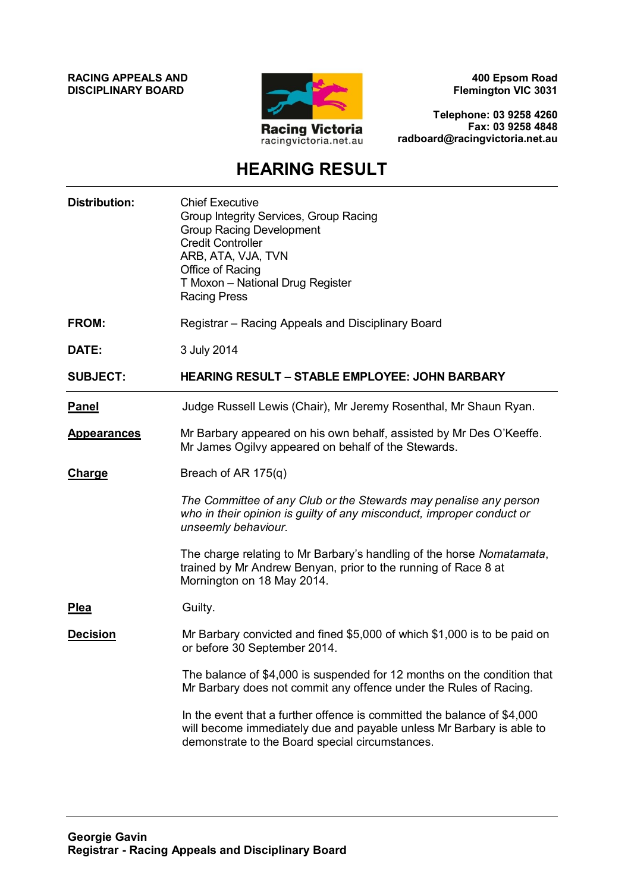**RACING APPEALS AND DISCIPLINARY BOARD**



**400 Epsom Road Flemington VIC 3031**

**Telephone: 03 9258 4260 Fax: 03 9258 4848 radboard@racingvictoria.net.au**

## **HEARING RESULT**

| <b>Distribution:</b> | <b>Chief Executive</b><br>Group Integrity Services, Group Racing<br><b>Group Racing Development</b><br><b>Credit Controller</b><br>ARB, ATA, VJA, TVN<br>Office of Racing<br>T Moxon - National Drug Register<br><b>Racing Press</b> |
|----------------------|--------------------------------------------------------------------------------------------------------------------------------------------------------------------------------------------------------------------------------------|
| <b>FROM:</b>         | Registrar - Racing Appeals and Disciplinary Board                                                                                                                                                                                    |
| DATE:                | 3 July 2014                                                                                                                                                                                                                          |
| <b>SUBJECT:</b>      | <b>HEARING RESULT - STABLE EMPLOYEE: JOHN BARBARY</b>                                                                                                                                                                                |
| <b>Panel</b>         | Judge Russell Lewis (Chair), Mr Jeremy Rosenthal, Mr Shaun Ryan.                                                                                                                                                                     |
| <b>Appearances</b>   | Mr Barbary appeared on his own behalf, assisted by Mr Des O'Keeffe.<br>Mr James Ogilvy appeared on behalf of the Stewards.                                                                                                           |
| <b>Charge</b>        | Breach of AR 175(q)                                                                                                                                                                                                                  |
|                      | The Committee of any Club or the Stewards may penalise any person<br>who in their opinion is guilty of any misconduct, improper conduct or<br>unseemly behaviour.                                                                    |
|                      | The charge relating to Mr Barbary's handling of the horse Nomatamata,<br>trained by Mr Andrew Benyan, prior to the running of Race 8 at<br>Mornington on 18 May 2014.                                                                |
| <b>Plea</b>          | Guilty.                                                                                                                                                                                                                              |
| <b>Decision</b>      | Mr Barbary convicted and fined \$5,000 of which \$1,000 is to be paid on<br>or before 30 September 2014.                                                                                                                             |
|                      | The balance of \$4,000 is suspended for 12 months on the condition that<br>Mr Barbary does not commit any offence under the Rules of Racing.                                                                                         |
|                      | In the event that a further offence is committed the balance of \$4,000<br>will become immediately due and payable unless Mr Barbary is able to<br>demonstrate to the Board special circumstances.                                   |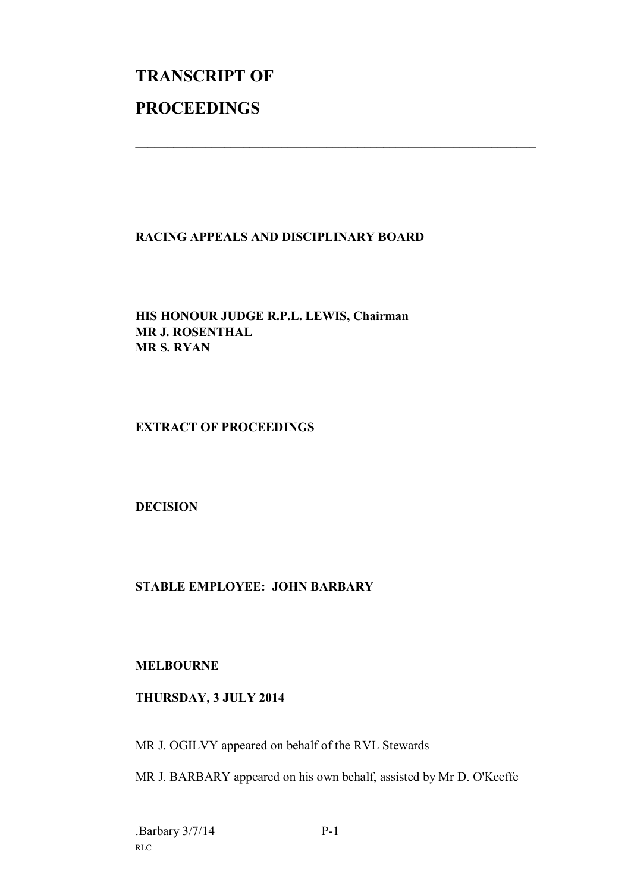# **TRANSCRIPT OF PROCEEDINGS**

#### **RACING APPEALS AND DISCIPLINARY BOARD**

 $\mathcal{L}_\text{max}$  , and the contribution of the contribution of the contribution of the contribution of the contribution of the contribution of the contribution of the contribution of the contribution of the contribution of t

**HIS HONOUR JUDGE R.P.L. LEWIS, Chairman MR J. ROSENTHAL MR S. RYAN**

**EXTRACT OF PROCEEDINGS**

**DECISION**

### **STABLE EMPLOYEE: JOHN BARBARY**

**MELBOURNE**

#### **THURSDAY, 3 JULY 2014**

MR J. OGILVY appeared on behalf of the RVL Stewards

MR J. BARBARY appeared on his own behalf, assisted by Mr D. O'Keeffe